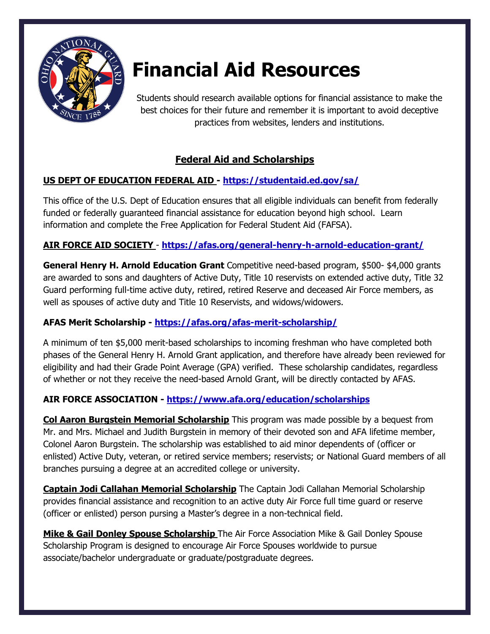

# **Financial Aid Resources**

Students should research available options for financial assistance to make the best choices for their future and remember it is important to avoid deceptive practices from websites, lenders and institutions.

# **Federal Aid and Scholarships**

# **US DEPT OF EDUCATION FEDERAL AID - <https://studentaid.ed.gov/sa/>**

This office of the U.S. Dept of Education ensures that all eligible individuals can benefit from federally funded or federally guaranteed financial assistance for education beyond high school. Learn information and complete the Free Application for Federal Student Aid (FAFSA).

# **AIR FORCE AID SOCIETY** - **<https://afas.org/general-henry-h-arnold-education-grant/>**

**General Henry H. Arnold Education Grant** Competitive need-based program, \$500- \$4,000 grants are awarded to sons and daughters of Active Duty, Title 10 reservists on extended active duty, Title 32 Guard performing full-time active duty, retired, retired Reserve and deceased Air Force members, as well as spouses of active duty and Title 10 Reservists, and widows/widowers.

# **AFAS Merit Scholarship - <https://afas.org/afas-merit-scholarship/>**

A minimum of ten \$5,000 merit-based scholarships to incoming freshman who have completed both phases of the General Henry H. Arnold Grant application, and therefore have already been reviewed for eligibility and had their Grade Point Average (GPA) verified. These scholarship candidates, regardless of whether or not they receive the need-based Arnold Grant, will be directly contacted by AFAS.

# **AIR FORCE ASSOCIATION - <https://www.afa.org/education/scholarships>**

**Col Aaron Burgstein Memorial Scholarship** This program was made possible by a bequest from Mr. and Mrs. Michael and Judith Burgstein in memory of their devoted son and AFA lifetime member, Colonel Aaron Burgstein. The scholarship was established to aid minor dependents of (officer or enlisted) Active Duty, veteran, or retired service members; reservists; or National Guard members of all branches pursuing a degree at an accredited college or university.

**Captain Jodi Callahan Memorial Scholarship** The Captain Jodi Callahan Memorial Scholarship provides financial assistance and recognition to an active duty Air Force full time guard or reserve (officer or enlisted) person pursing a Master's degree in a non-technical field.

**Mike & Gail Donley Spouse Scholarship** The Air Force Association Mike & Gail Donley Spouse Scholarship Program is designed to encourage Air Force Spouses worldwide to pursue associate/bachelor undergraduate or graduate/postgraduate degrees.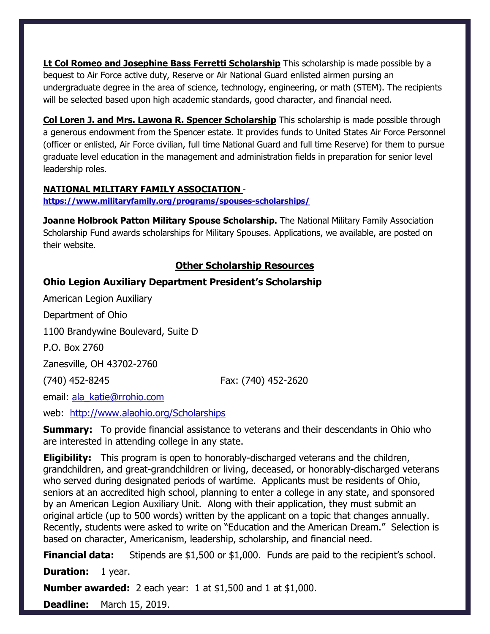**Lt Col Romeo and Josephine Bass Ferretti Scholarship** This scholarship is made possible by a bequest to Air Force active duty, Reserve or Air National Guard enlisted airmen pursing an undergraduate degree in the area of science, technology, engineering, or math (STEM). The recipients will be selected based upon high academic standards, good character, and financial need.

**Col Loren J. and Mrs. Lawona R. Spencer Scholarship** This scholarship is made possible through a generous endowment from the Spencer estate. It provides funds to United States Air Force Personnel (officer or enlisted, Air Force civilian, full time National Guard and full time Reserve) for them to pursue graduate level education in the management and administration fields in preparation for senior level leadership roles.

#### **NATIONAL MILITARY FAMILY ASSOCIATION** -

**<https://www.militaryfamily.org/programs/spouses-scholarships/>**

**Joanne Holbrook Patton Military Spouse Scholarship.** The National Military Family Association Scholarship Fund awards scholarships for Military Spouses. Applications, we available, are posted on their website.

## **Other Scholarship Resources**

#### **Ohio Legion Auxiliary Department President's Scholarship**

American Legion Auxiliary Department of Ohio 1100 Brandywine Boulevard, Suite D P.O. Box 2760 Zanesville, OH 43702-2760 (740) 452-8245 Fax: (740) 452-2620 email: [ala\\_katie@rrohio.com](mailto:ala_katie@rrohio.com) web: <http://www.alaohio.org/Scholarships>

**Summary:** To provide financial assistance to veterans and their descendants in Ohio who are interested in attending college in any state.

**Eligibility:** This program is open to honorably-discharged veterans and the children, grandchildren, and great-grandchildren or living, deceased, or honorably-discharged veterans who served during designated periods of wartime. Applicants must be residents of Ohio, seniors at an accredited high school, planning to enter a college in any state, and sponsored by an American Legion Auxiliary Unit. Along with their application, they must submit an original article (up to 500 words) written by the applicant on a topic that changes annually. Recently, students were asked to write on "Education and the American Dream." Selection is based on character, Americanism, leadership, scholarship, and financial need.

**Financial data:** Stipends are \$1,500 or \$1,000. Funds are paid to the recipient's school.

**Duration:** 1 year.

**Number awarded:** 2 each year: 1 at \$1,500 and 1 at \$1,000.

**Deadline:** March 15, 2019.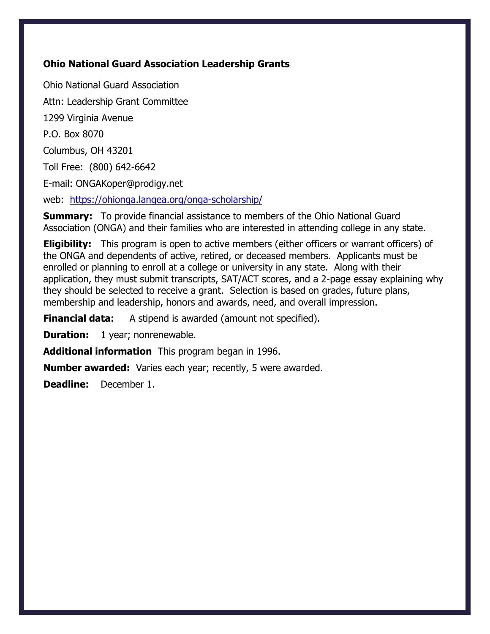## **Ohio National Guard Association Leadership Grants**

Ohio National Guard Association Attn: Leadership Grant Committee 1299 Virginia Avenue P.O. Box 8070 Columbus, OH 43201 Toll Free: (800) 642-6642 E-mail: ONGAKoper@prodigy.net web: <https://ohionga.langea.org/onga-scholarship/>

**Summary:** To provide financial assistance to members of the Ohio National Guard Association (ONGA) and their families who are interested in attending college in any state.

**Eligibility:** This program is open to active members (either officers or warrant officers) of the ONGA and dependents of active, retired, or deceased members. Applicants must be enrolled or planning to enroll at a college or university in any state. Along with their application, they must submit transcripts, SAT/ACT scores, and a 2-page essay explaining why they should be selected to receive a grant. Selection is based on grades, future plans, membership and leadership, honors and awards, need, and overall impression.

**Financial data:** A stipend is awarded (amount not specified).

**Duration:** 1 year; nonrenewable.

**Additional information** This program began in 1996.

**Number awarded:** Varies each year; recently, 5 were awarded.

**Deadline:** December 1.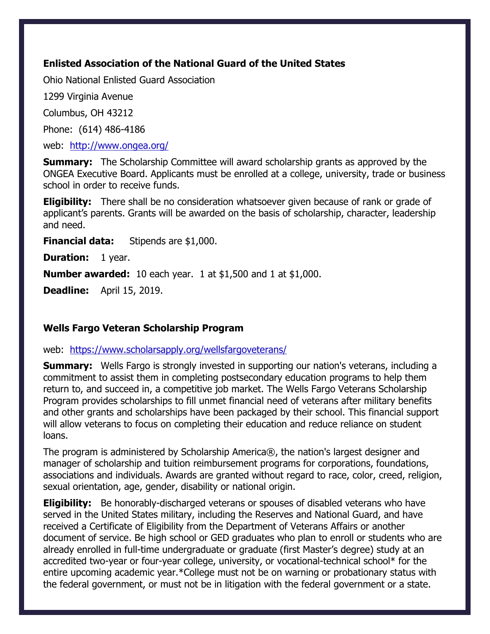## **Enlisted Association of the National Guard of the United States**

Ohio National Enlisted Guard Association

1299 Virginia Avenue

Columbus, OH 43212

Phone: (614) 486-4186

web: <http://www.ongea.org/>

**Summary:** The Scholarship Committee will award scholarship grants as approved by the ONGEA Executive Board. Applicants must be enrolled at a college, university, trade or business school in order to receive funds.

**Eligibility:** There shall be no consideration whatsoever given because of rank or grade of applicant's parents. Grants will be awarded on the basis of scholarship, character, leadership and need.

**Financial data:** Stipends are \$1,000.

**Duration:** 1 year.

**Number awarded:** 10 each year. 1 at \$1,500 and 1 at \$1,000.

**Deadline:** April 15, 2019.

## **Wells Fargo Veteran Scholarship Program**

#### web: <https://www.scholarsapply.org/wellsfargoveterans/>

**Summary:** Wells Fargo is strongly invested in supporting our nation's veterans, including a commitment to assist them in completing postsecondary education programs to help them return to, and succeed in, a competitive job market. The Wells Fargo Veterans Scholarship Program provides scholarships to fill unmet financial need of veterans after military benefits and other grants and scholarships have been packaged by their school. This financial support will allow veterans to focus on completing their education and reduce reliance on student loans.

The program is administered by Scholarship America®, the nation's largest designer and manager of scholarship and tuition reimbursement programs for corporations, foundations, associations and individuals. Awards are granted without regard to race, color, creed, religion, sexual orientation, age, gender, disability or national origin.

**Eligibility:** Be honorably-discharged veterans or spouses of disabled veterans who have served in the United States military, including the Reserves and National Guard, and have received a Certificate of Eligibility from the Department of Veterans Affairs or another document of service. Be high school or GED graduates who plan to enroll or students who are already enrolled in full-time undergraduate or graduate (first Master's degree) study at an accredited two-year or four-year college, university, or vocational-technical school\* for the entire upcoming academic year.\*College must not be on warning or probationary status with the federal government, or must not be in litigation with the federal government or a state.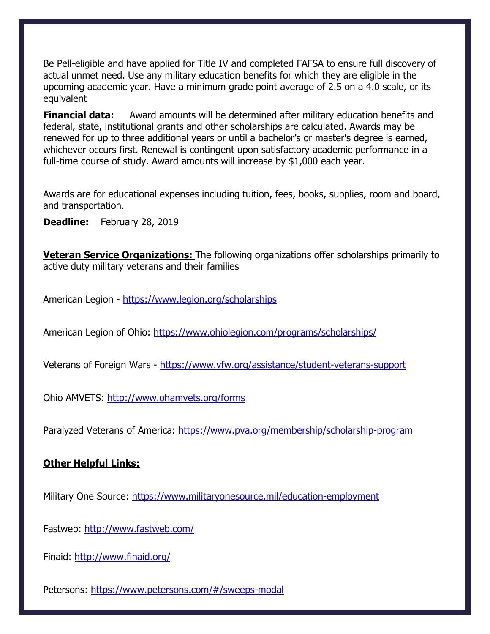Be Pell-eligible and have applied for Title IV and completed FAFSA to ensure full discovery of actual unmet need. Use any military education benefits for which they are eligible in the upcoming academic year. Have a minimum grade point average of 2.5 on a 4.0 scale, or its equivalent

**Financial data:** Award amounts will be determined after military education benefits and federal, state, institutional grants and other scholarships are calculated. Awards may be renewed for up to three additional years or until a bachelor's or master's degree is earned, whichever occurs first. Renewal is contingent upon satisfactory academic performance in a full-time course of study. Award amounts will increase by \$1,000 each year.

Awards are for educational expenses including tuition, fees, books, supplies, room and board, and transportation.

**Deadline:** February 28, 2019

**Veteran Service Organizations:** The following organizations offer scholarships primarily to active duty military veterans and their families

American Legion - <https://www.legion.org/scholarships>

American Legion of Ohio:<https://www.ohiolegion.com/programs/scholarships/>

Veterans of Foreign Wars - https://www.vfw.org/assistance/student-veterans-support

Ohio AMVETS: <http://www.ohamvets.org/forms>

Paralyzed Veterans of America:<https://www.pva.org/membership/scholarship-program>

## **Other Helpful Links:**

Military One Source:<https://www.militaryonesource.mil/education-employment>

Fastweb:<http://www.fastweb.com/>

Finaid:<http://www.finaid.org/>

Petersons:<https://www.petersons.com/#/sweeps-modal>